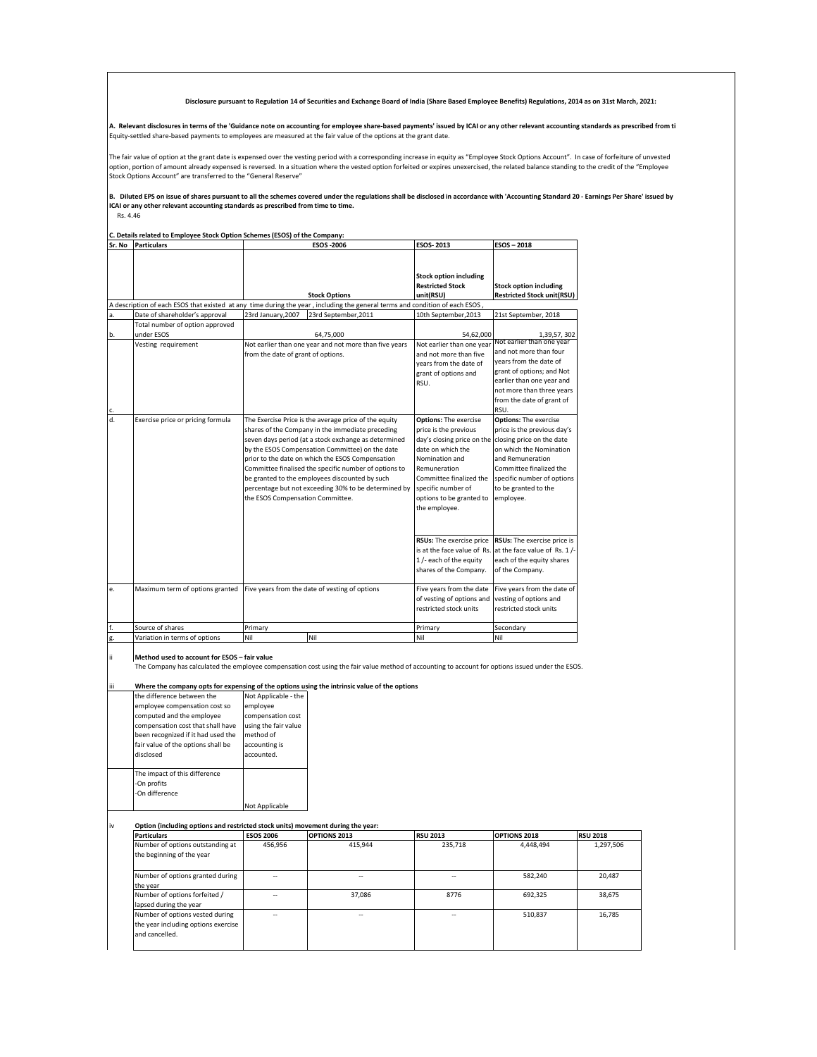**Disclosure pursuant to Regulation 14 of Securities and Exchange Board of India (Share Based Employee Benefits) Regulations, 2014 as on 31st March, 2021:** 

**A. Relevant disclosures in terms of the 'Guidance note on accounting for employee share-based payments' issued by ICAI or any other relevant accounting standards as prescribed from ti** Equity-settled share-based payments to employees are measured at the fair value of the options at the grant date.

The fair value of option at the grant date is expensed over the vesting period with a corresponding increase in equity as "Employee Stock Options Account". In case of forfeiture of unvested<br>option, portion of amount alread Stock Options Account" are transferred to the "General Reserve"

## B. Diluted EPS on issue of shares pursuant to all the schemes covered under the regulations shall be disclosed in accordance with 'Accounting Standard 20 - Earnings Per Share' issued by<br>ICAI or any other relevant accountin

Rs. 4.46

**C. Details related to Employee Stock Option Schemes (ESOS) of the Company:**

| Sr. No | <b>Particulars</b>                | <b>ESOS-2006</b>                                                                                                                                                                                                                                                                                                                                                                                                                                                                | <b>ESOS-2013</b>                                                                                                                                                                                                                                                   | ESOS - 2018                                                                                                                                                                                               |
|--------|-----------------------------------|---------------------------------------------------------------------------------------------------------------------------------------------------------------------------------------------------------------------------------------------------------------------------------------------------------------------------------------------------------------------------------------------------------------------------------------------------------------------------------|--------------------------------------------------------------------------------------------------------------------------------------------------------------------------------------------------------------------------------------------------------------------|-----------------------------------------------------------------------------------------------------------------------------------------------------------------------------------------------------------|
|        |                                   | <b>Stock Options</b>                                                                                                                                                                                                                                                                                                                                                                                                                                                            | <b>Stock option including</b><br><b>Restricted Stock</b><br>unit(RSU)                                                                                                                                                                                              | <b>Stock option including</b><br><b>Restricted Stock unit(RSU)</b>                                                                                                                                        |
|        |                                   | A description of each ESOS that existed at any time during the year, including the general terms and condition of each ESOS                                                                                                                                                                                                                                                                                                                                                     |                                                                                                                                                                                                                                                                    |                                                                                                                                                                                                           |
| a.     | Date of shareholder's approval    | 23rd January, 2007<br>23rd September, 2011                                                                                                                                                                                                                                                                                                                                                                                                                                      | 10th September, 2013                                                                                                                                                                                                                                               | 21st September, 2018                                                                                                                                                                                      |
|        | Total number of option approved   |                                                                                                                                                                                                                                                                                                                                                                                                                                                                                 |                                                                                                                                                                                                                                                                    |                                                                                                                                                                                                           |
| b.     | under ESOS                        | 64,75,000                                                                                                                                                                                                                                                                                                                                                                                                                                                                       | 54,62,000                                                                                                                                                                                                                                                          | 1,39,57,302                                                                                                                                                                                               |
| c.     | Vesting requirement               | Not earlier than one year and not more than five years<br>from the date of grant of options.                                                                                                                                                                                                                                                                                                                                                                                    | Not earlier than one year<br>and not more than five<br>years from the date of<br>grant of options and<br>RSU.                                                                                                                                                      | Not earlier than one year<br>and not more than four<br>vears from the date of<br>grant of options; and Not<br>earlier than one year and<br>not more than three years<br>from the date of grant of<br>RSU. |
| d.     | Exercise price or pricing formula | The Exercise Price is the average price of the equity<br>shares of the Company in the immediate preceding<br>seven days period (at a stock exchange as determined<br>by the ESOS Compensation Committee) on the date<br>prior to the date on which the ESOS Compensation<br>Committee finalised the specific number of options to<br>be granted to the employees discounted by such<br>percentage but not exceeding 30% to be determined by<br>the ESOS Compensation Committee. | <b>Options:</b> The exercise<br>price is the previous<br>day's closing price on the closing price on the date<br>date on which the<br>Nomination and<br>Remuneration<br>Committee finalized the<br>specific number of<br>options to be granted to<br>the employee. | <b>Options: The exercise</b><br>price is the previous day's<br>on which the Nomination<br>and Remuneration<br>Committee finalized the<br>specific number of options<br>to be granted to the<br>employee.  |
|        |                                   |                                                                                                                                                                                                                                                                                                                                                                                                                                                                                 | RSUs: The exercise price<br>1 /- each of the equity<br>shares of the Company.                                                                                                                                                                                      | RSUs: The exercise price is<br>is at the face value of Rs. at the face value of Rs. 1/-<br>each of the equity shares<br>of the Company.                                                                   |
| e.     | Maximum term of options granted   | Five years from the date of vesting of options                                                                                                                                                                                                                                                                                                                                                                                                                                  | Five years from the date<br>of vesting of options and<br>restricted stock units                                                                                                                                                                                    | Five years from the date of<br>vesting of options and<br>restricted stock units                                                                                                                           |
| f.     | Source of shares                  | Primary                                                                                                                                                                                                                                                                                                                                                                                                                                                                         | Primary                                                                                                                                                                                                                                                            | Secondary                                                                                                                                                                                                 |
| g.     | Variation in terms of options     | Nil<br>Nil                                                                                                                                                                                                                                                                                                                                                                                                                                                                      | Nil                                                                                                                                                                                                                                                                | Nil                                                                                                                                                                                                       |

**Method used to account for ESOS – fair value** 

The Company has calculated the employee compensation cost using the fair value method of accounting to account for options issued under the ESOS.

Where the company opts for expensing of the options using the intrinsic value of the options

| the difference between the         | Not Applicable - the |
|------------------------------------|----------------------|
| employee compensation cost so      | employee             |
| computed and the employee          | compensation cost    |
| compensation cost that shall have  | using the fair value |
| been recognized if it had used the | method of            |
| fair value of the options shall be | accounting is        |
| disclosed                          | accounted.           |
|                                    |                      |
| The impact of this difference      |                      |
| -On profits                        |                      |
| -On difference                     |                      |
|                                    | Not Applicable       |

Option (including options and restricted stock units) movement during the year:

| <b>Particulars</b>                                                                       | <b>ESOS 2006</b> | <b>OPTIONS 2013</b>      | <b>RSU 2013</b> | OPTIONS 2018 | <b>RSU 2018</b> |
|------------------------------------------------------------------------------------------|------------------|--------------------------|-----------------|--------------|-----------------|
| Number of options outstanding at<br>the beginning of the year                            | 456,956          | 415.944                  | 235,718         | 4,448,494    | 1,297,506       |
| Number of options granted during<br>the year                                             | --               | $\overline{\phantom{a}}$ | $-$             | 582,240      | 20,487          |
| Number of options forfeited /<br>lapsed during the year                                  | --               | 37.086                   | 8776            | 692,325      | 38,675          |
| Number of options vested during<br>the year including options exercise<br>and cancelled. | --               | $-$                      | $-1$            | 510,837      | 16,785          |